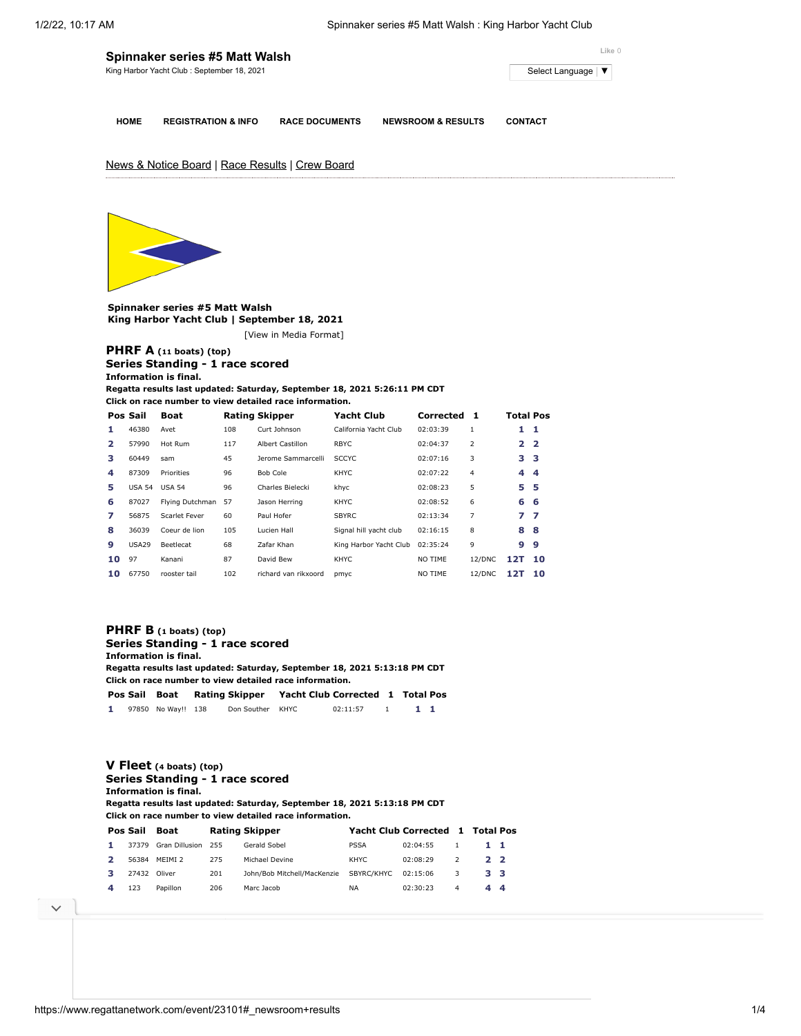|      | Spinnaker series #5 Matt Walsh              | Like 0<br>Select Language   ▼ |                    |                |
|------|---------------------------------------------|-------------------------------|--------------------|----------------|
|      | King Harbor Yacht Club : September 18, 2021 |                               |                    |                |
|      |                                             |                               |                    |                |
| HOME | <b>REGISTRATION &amp; INFO</b>              | <b>RACE DOCUMENTS</b>         | NEWSROOM & RESULTS | <b>CONTACT</b> |

News & Notice Board | Race Results | Crew Board



**Spinnaker series #5 Matt Walsh King Harbor Yacht Club | September 18, 2021**

[\[View in Media Format](https://www.regattanetwork.com/clubmgmt/applet_regatta_results.php?regatta_id=23101&media_format=1)]

### **[PHRF A](https://www.regattanetwork.com/clubmgmt/applet_regatta_results.php?regatta_id=23101&limit_fleet=PHRF+A) (11 boats) (top) Series Standing - 1 race scored Information is final.**

**Regatta results last updated: Saturday, September 18, 2021 5:26:11 PM CDT Click on race number to view detailed race information.**

|              | Pos Sail      | <b>Boat</b>     |     | <b>Rating Skipper</b> | Yacht Club             | Corrected | 1      | Total Pos      |     |
|--------------|---------------|-----------------|-----|-----------------------|------------------------|-----------|--------|----------------|-----|
| 1.           | 46380         | Avet            | 108 | Curt Johnson          | California Yacht Club  | 02:03:39  | 1      | 1              | -1  |
| $\mathbf{2}$ | 57990         | Hot Rum         | 117 | Albert Castillon      | <b>RBYC</b>            | 02:04:37  | 2      | 2 <sub>2</sub> |     |
| з            | 60449         | sam             | 45  | Jerome Sammarcelli    | <b>SCCYC</b>           | 02:07:16  | 3      | з.             | -3  |
| 4            | 87309         | Priorities      | 96  | <b>Bob Cole</b>       | <b>KHYC</b>            | 02:07:22  | 4      | 4              | -4  |
| 5            | <b>USA 54</b> | <b>USA 54</b>   | 96  | Charles Bielecki      | khyc                   | 02:08:23  | 5      | 5.             | -5  |
| 6            | 87027         | Flying Dutchman | 57  | Jason Herring         | <b>KHYC</b>            | 02:08:52  | 6      | 6.             | - 6 |
| 7            | 56875         | Scarlet Fever   | 60  | Paul Hofer            | <b>SBYRC</b>           | 02:13:34  | 7      | 7              | -7  |
| 8            | 36039         | Coeur de lion   | 105 | Lucien Hall           | Signal hill yacht club | 02:16:15  | 8      | 8              | -8  |
| 9            | <b>USA29</b>  | Beetlecat       | 68  | Zafar Khan            | King Harbor Yacht Club | 02:35:24  | 9      | 9              | 9   |
| 10           | 97            | Kanani          | 87  | David Bew             | <b>KHYC</b>            | NO TIME   | 12/DNC | 12T 10         |     |
| 10           | 67750         | rooster tail    | 102 | richard van rikxoord  | pmyc                   | NO TIME   | 12/DNC | 12T            | -10 |
|              |               |                 |     |                       |                        |           |        |                |     |

## **[PHRF B](https://www.regattanetwork.com/clubmgmt/applet_regatta_results.php?regatta_id=23101&limit_fleet=PHRF+B) (1 boats) (top) Series Standing - 1 race scored Information is final. Regatta results last updated: Saturday, September 18, 2021 5:13:18 PM CDT Click on race number to view detailed race information. Pos Sail Boat Rating Skipper Yacht Club Corrected [1](https://www.regattanetwork.com/clubmgmt/applet_race_scores.php?regatta_id=23101&race_num=1&fleet=PHRF+B) Total Pos**

# **1** 97850 No Way!! 138 Don Souther KHYC 02:11:57 1 **1 1**

### **[V Fleet](https://www.regattanetwork.com/clubmgmt/applet_regatta_results.php?regatta_id=23101&limit_fleet=V+Fleet) (4 boats) (top) Series Standing - 1 race scored Information is final. Regatta results last updated: Saturday, September 18, 2021 5:13:18 PM CDT**

**Click on race number to view detailed race information. Pos Sail Boat Rating Skipper Yacht Club Corrected [1](https://www.regattanetwork.com/clubmgmt/applet_race_scores.php?regatta_id=23101&race_num=1&fleet=V+Fleet) Total Pos** 37379 Gran Dillusion 255 Gerald Sobel PSSA 02:04:55 1 **1 1** 56384 MEIMI 2 275 Michael Devine KHYC 02:08:29 2 **2 2** 27432 Oliver 201 John/Bob Mitchell/MacKenzie SBYRC/KHYC 02:15:06 3 **3 3** 123 Papillon 206 Marc Jacob NA 02:30:23 4 **4 4**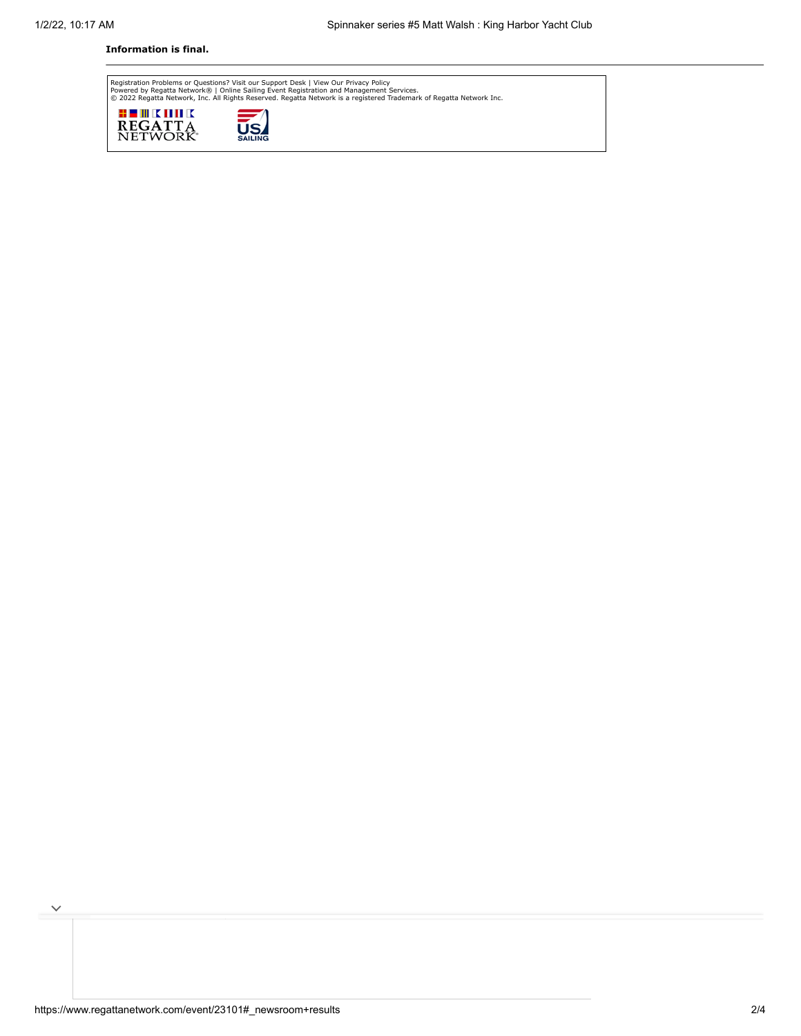### **Information is final.**

Registration Problems or Questions? [Visit our Support Desk](http://support.regattanetwork.com/) | [View Our Privacy Policy](https://www.regattanetwork.com/html/privacy.html)<br>[Powered by Regatta Network®](http://www.regattanetwork.com/) | Online Sailing Event Registration and Management Services.<br>© 2022 [Regatta Network,](http://www.regattanetwork.com/) Inc. All Rights Reserved



 $\checkmark$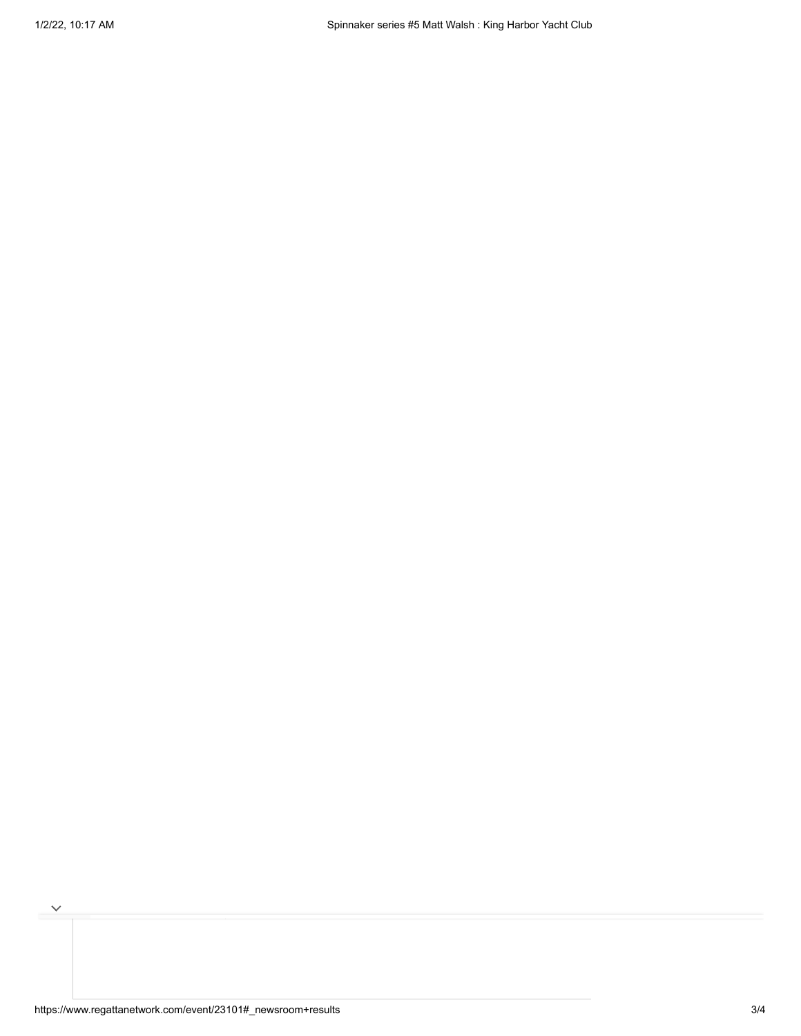$\vee$